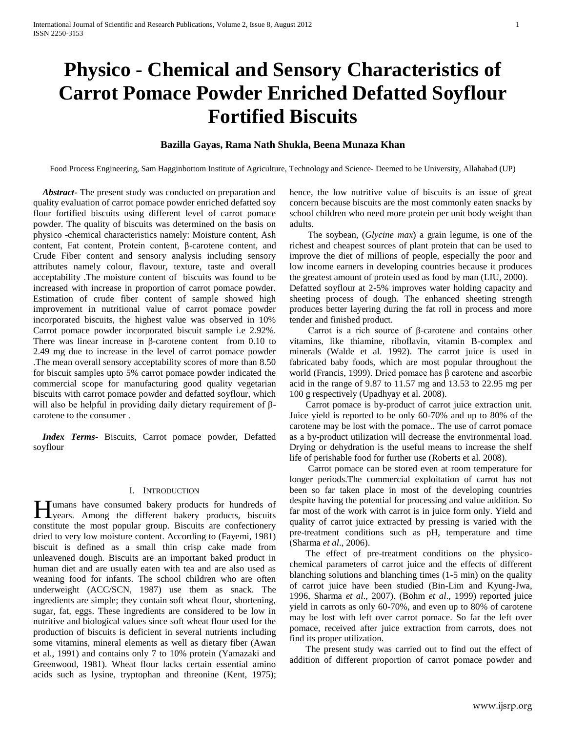# **Physico - Chemical and Sensory Characteristics of Carrot Pomace Powder Enriched Defatted Soyflour Fortified Biscuits**

## **Bazilla Gayas, Rama Nath Shukla, Beena Munaza Khan**

Food Process Engineering, Sam Hagginbottom Institute of Agriculture, Technology and Science- Deemed to be University, Allahabad (UP)

 *Abstract***-** The present study was conducted on preparation and quality evaluation of carrot pomace powder enriched defatted soy flour fortified biscuits using different level of carrot pomace powder. The quality of biscuits was determined on the basis on physico -chemical characteristics namely: Moisture content, Ash content, Fat content, Protein content, β-carotene content, and Crude Fiber content and sensory analysis including sensory attributes namely colour, flavour, texture, taste and overall acceptability .The moisture content of biscuits was found to be increased with increase in proportion of carrot pomace powder. Estimation of crude fiber content of sample showed high improvement in nutritional value of carrot pomace powder incorporated biscuits, the highest value was observed in 10% Carrot pomace powder incorporated biscuit sample i.e 2.92%. There was linear increase in β-carotene content from 0.10 to 2.49 mg due to increase in the level of carrot pomace powder .The mean overall sensory acceptability scores of more than 8.50 for biscuit samples upto 5% carrot pomace powder indicated the commercial scope for manufacturing good quality vegetarian biscuits with carrot pomace powder and defatted soyflour, which will also be helpful in providing daily dietary requirement of βcarotene to the consumer .

 *Index Terms*- Biscuits, Carrot pomace powder, Defatted soyflour

## I. INTRODUCTION

Tumans have consumed bakery products for hundreds of Humans have consumed bakery products for hundreds of years. Among the different bakery products, biscuits constitute the most popular group. Biscuits are confectionery dried to very low moisture content. According to (Fayemi, 1981) biscuit is defined as a small thin crisp cake made from unleavened dough. Biscuits are an important baked product in human diet and are usually eaten with tea and are also used as weaning food for infants. The school children who are often underweight (ACC/SCN, 1987) use them as snack. The ingredients are simple; they contain soft wheat flour, shortening, sugar, fat, eggs. These ingredients are considered to be low in nutritive and biological values since soft wheat flour used for the production of biscuits is deficient in several nutrients including some vitamins, mineral elements as well as dietary fiber (Awan et al., 1991) and contains only 7 to 10% protein (Yamazaki and Greenwood, 1981). Wheat flour lacks certain essential amino acids such as lysine, tryptophan and threonine (Kent, 1975);

hence, the low nutritive value of biscuits is an issue of great concern because biscuits are the most commonly eaten snacks by school children who need more protein per unit body weight than adults.

 The soybean, (*Glycine max*) a grain legume, is one of the richest and cheapest sources of plant protein that can be used to improve the diet of millions of people, especially the poor and low income earners in developing countries because it produces the greatest amount of protein used as food by man (LIU, 2000). Defatted soyflour at 2-5% improves water holding capacity and sheeting process of dough. The enhanced sheeting strength produces better layering during the fat roll in process and more tender and finished product.

 Carrot is a rich source of β-carotene and contains other vitamins, like thiamine, riboflavin, vitamin B-complex and minerals (Walde et al. 1992). The carrot juice is used in fabricated baby foods, which are most popular throughout the world (Francis, 1999). Dried pomace has β carotene and ascorbic acid in the range of 9.87 to 11.57 mg and 13.53 to 22.95 mg per 100 g respectively (Upadhyay et al. 2008).

 Carrot pomace is by-product of carrot juice extraction unit. Juice yield is reported to be only 60-70% and up to 80% of the carotene may be lost with the pomace.. The use of carrot pomace as a by-product utilization will decrease the environmental load. Drying or dehydration is the useful means to increase the shelf life of perishable food for further use (Roberts et al. 2008).

 Carrot pomace can be stored even at room temperature for longer periods.The commercial exploitation of carrot has not been so far taken place in most of the developing countries despite having the potential for processing and value addition. So far most of the work with carrot is in juice form only. Yield and quality of carrot juice extracted by pressing is varied with the pre-treatment conditions such as pH, temperature and time (Sharma *et al*., 2006).

 The effect of pre-treatment conditions on the physicochemical parameters of carrot juice and the effects of different blanching solutions and blanching times (1-5 min) on the quality of carrot juice have been studied (Bin-Lim and Kyung-Jwa, 1996, Sharma *et al*., 2007). (Bohm *et al*., 1999) reported juice yield in carrots as only 60-70%, and even up to 80% of carotene may be lost with left over carrot pomace. So far the left over pomace, received after juice extraction from carrots, does not find its proper utilization.

 The present study was carried out to find out the effect of addition of different proportion of carrot pomace powder and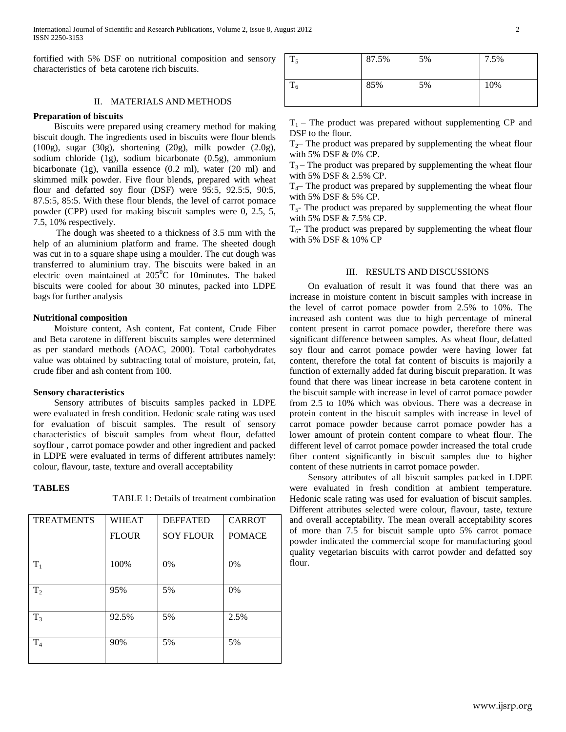fortified with 5% DSF on nutritional composition and sensory characteristics of beta carotene rich biscuits.

## II. MATERIALS AND METHODS

## **Preparation of biscuits**

 Biscuits were prepared using creamery method for making biscuit dough. The ingredients used in biscuits were flour blends (100g), sugar (30g), shortening (20g), milk powder (2.0g), sodium chloride (1g), sodium bicarbonate (0.5g), ammonium bicarbonate (1g), vanilla essence (0.2 ml), water (20 ml) and skimmed milk powder. Five flour blends, prepared with wheat flour and defatted soy flour (DSF) were 95:5, 92.5:5, 90:5, 87.5:5, 85:5. With these flour blends, the level of carrot pomace powder (CPP) used for making biscuit samples were 0, 2.5, 5, 7.5, 10% respectively.

 The dough was sheeted to a thickness of 3.5 mm with the help of an aluminium platform and frame. The sheeted dough was cut in to a square shape using a moulder. The cut dough was transferred to aluminium tray. The biscuits were baked in an electric oven maintained at  $205^{\circ}$ C for 10minutes. The baked biscuits were cooled for about 30 minutes, packed into LDPE bags for further analysis

## **Nutritional composition**

 Moisture content, Ash content, Fat content, Crude Fiber and Beta carotene in different biscuits samples were determined as per standard methods (AOAC, 2000). Total carbohydrates value was obtained by subtracting total of moisture, protein, fat, crude fiber and ash content from 100.

#### **Sensory characteristics**

 Sensory attributes of biscuits samples packed in LDPE were evaluated in fresh condition. Hedonic scale rating was used for evaluation of biscuit samples. The result of sensory characteristics of biscuit samples from wheat flour, defatted soyflour , carrot pomace powder and other ingredient and packed in LDPE were evaluated in terms of different attributes namely: colour, flavour, taste, texture and overall acceptability

# **TABLES**

TABLE 1: Details of treatment combination

| <b>TREATMENTS</b> | <b>WHEAT</b> | <b>DEFFATED</b>  | <b>CARROT</b> |  |
|-------------------|--------------|------------------|---------------|--|
|                   | <b>FLOUR</b> | <b>SOY FLOUR</b> | <b>POMACE</b> |  |
|                   |              |                  |               |  |
| $T_1$             | 100%         | 0%               | 0%            |  |
|                   |              |                  |               |  |
| T <sub>2</sub>    | 95%          | 5%               | 0%            |  |
|                   |              |                  |               |  |
| $T_3$             | 92.5%        | 5%               | 2.5%          |  |
|                   |              |                  |               |  |
| T <sub>4</sub>    | 90%          | 5%               | 5%            |  |
|                   |              |                  |               |  |

| ௱<br><b>1</b> 5 | 87.5% | 5% | 7.5% |
|-----------------|-------|----|------|
| m<br>16         | 85%   | 5% | 10%  |

 $T_1$  – The product was prepared without supplementing CP and DSF to the flour.

 $T<sub>2</sub>$ – The product was prepared by supplementing the wheat flour with 5% DSF & 0% CP.

 $T_3$  – The product was prepared by supplementing the wheat flour with 5% DSF & 2.5% CP.

 $T<sub>4</sub>$ – The product was prepared by supplementing the wheat flour with 5% DSF & 5% CP.

 $T<sub>5</sub>$ - The product was prepared by supplementing the wheat flour with 5% DSF & 7.5% CP.

 $T<sub>6</sub>$ - The product was prepared by supplementing the wheat flour with 5% DSF & 10% CP

## III. RESULTS AND DISCUSSIONS

 On evaluation of result it was found that there was an increase in moisture content in biscuit samples with increase in the level of carrot pomace powder from 2.5% to 10%. The increased ash content was due to high percentage of mineral content present in carrot pomace powder, therefore there was significant difference between samples. As wheat flour, defatted soy flour and carrot pomace powder were having lower fat content, therefore the total fat content of biscuits is majorily a function of externally added fat during biscuit preparation. It was found that there was linear increase in beta carotene content in the biscuit sample with increase in level of carrot pomace powder from 2.5 to 10% which was obvious. There was a decrease in protein content in the biscuit samples with increase in level of carrot pomace powder because carrot pomace powder has a lower amount of protein content compare to wheat flour. The different level of carrot pomace powder increased the total crude fiber content significantly in biscuit samples due to higher content of these nutrients in carrot pomace powder.

 Sensory attributes of all biscuit samples packed in LDPE were evaluated in fresh condition at ambient temperature. Hedonic scale rating was used for evaluation of biscuit samples. Different attributes selected were colour, flavour, taste, texture and overall acceptability. The mean overall acceptability scores of more than 7.5 for biscuit sample upto 5% carrot pomace powder indicated the commercial scope for manufacturing good quality vegetarian biscuits with carrot powder and defatted soy flour.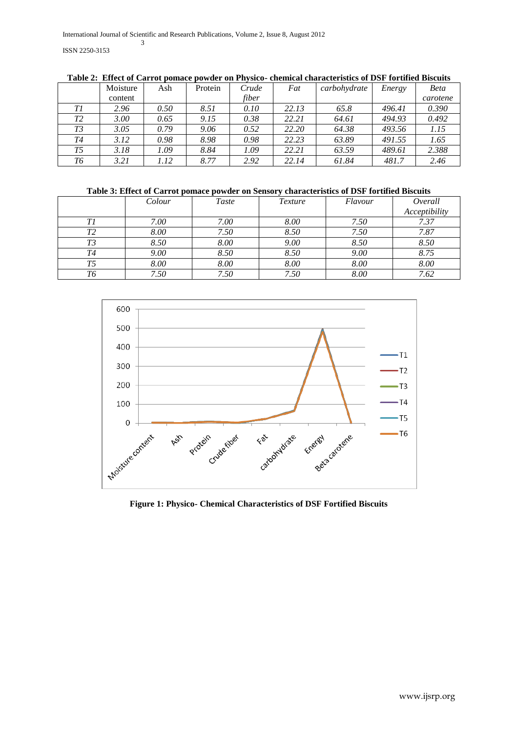|    | Moisture | Ash  | Protein | Crude | Fat   | carbohydrate | Energy | <b>Beta</b> |
|----|----------|------|---------|-------|-------|--------------|--------|-------------|
|    | content  |      |         | fiber |       |              |        | carotene    |
| Τl | 2.96     | 0.50 | 8.51    | 0.10  | 22.13 | 65.8         | 496.41 | 0.390       |
| T2 | 3.00     | 0.65 | 9.15    | 0.38  | 22.21 | 64.61        | 494.93 | 0.492       |
| T3 | 3.05     | 0.79 | 9.06    | 0.52  | 22.20 | 64.38        | 493.56 | 1.15        |
| T4 | 3.12     | 0.98 | 8.98    | 0.98  | 22.23 | 63.89        | 491.55 | 1.65        |
| T5 | 3.18     | 1.09 | 8.84    | 1.09  | 22.21 | 63.59        | 489.61 | 2.388       |
| T6 | 3.21     | 1.12 | 8.77    | 2.92  | 22.14 | 61.84        | 481.7  | 2.46        |

**Table 2: Effect of Carrot pomace powder on Physico- chemical characteristics of DSF fortified Biscuits**

# **Table 3: Effect of Carrot pomace powder on Sensory characteristics of DSF fortified Biscuits**

|    | Colour | <b>Taste</b> | <i>Texture</i> | Flavour | Overall       |
|----|--------|--------------|----------------|---------|---------------|
|    |        |              |                |         | Acceptibility |
| Τl | 7.00   | 7.00         | 8.00           | 7.50    | 7.37          |
| Τ2 | 8.00   | 7.50         | 8.50           | 7.50    | 7.87          |
| T3 | 8.50   | 8.00         | 9.00           | 8.50    | 8.50          |
| T4 | 9.00   | 8.50         | 8.50           | 9.00    | 8.75          |
| T5 | 8.00   | 8.00         | 8.00           | 8.00    | 8.00          |
| Т6 | 7.50   | 7.50         | 7.50           | 8.00    | 7.62          |



**Figure 1: Physico- Chemical Characteristics of DSF Fortified Biscuits**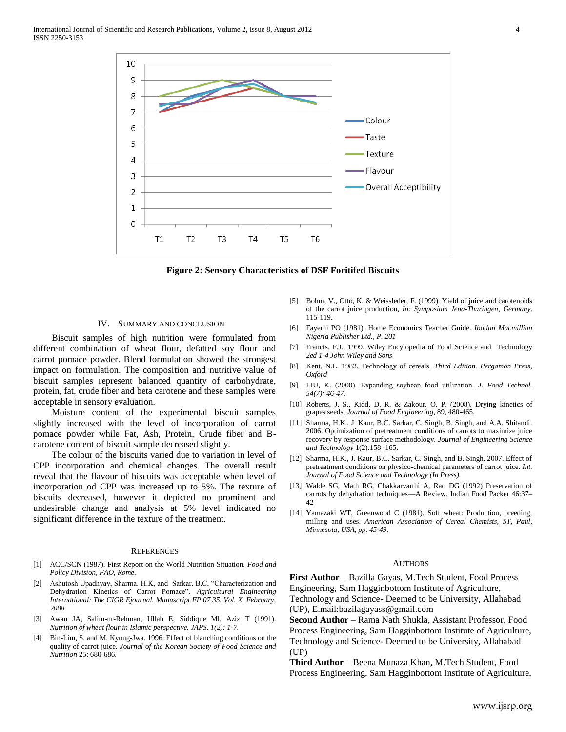

**Figure 2: Sensory Characteristics of DSF Foritifed Biscuits**

## IV. SUMMARY AND CONCLUSION

 Biscuit samples of high nutrition were formulated from different combination of wheat flour, defatted soy flour and carrot pomace powder. Blend formulation showed the strongest impact on formulation. The composition and nutritive value of biscuit samples represent balanced quantity of carbohydrate, protein, fat, crude fiber and beta carotene and these samples were acceptable in sensory evaluation.

 Moisture content of the experimental biscuit samples slightly increased with the level of incorporation of carrot pomace powder while Fat, Ash, Protein, Crude fiber and Bcarotene content of biscuit sample decreased slightly.

 The colour of the biscuits varied due to variation in level of CPP incorporation and chemical changes. The overall result reveal that the flavour of biscuits was acceptable when level of incorporation od CPP was increased up to 5%. The texture of biscuits decreased, however it depicted no prominent and undesirable change and analysis at 5% level indicated no significant difference in the texture of the treatment.

### **REFERENCES**

- [1] ACC/SCN (1987). First Report on the World Nutrition Situation. *Food and Policy Division, FAO, Rome.*
- [2] Ashutosh Upadhyay, Sharma. H.K, and Sarkar. B.C, "Characterization and Dehydration Kinetics of Carrot Pomace". Agricultural Engineering *International: The CIGR Ejournal. Manuscript FP 07 35. Vol. X. February, 2008*
- [3] Awan JA, Salim-ur-Rehman, Ullah E, Siddique Ml, Aziz T (1991). *Nutrition of wheat flour in Islamic perspective. JAPS, 1(2): 1-7.*
- [4] Bin-Lim, S. and M. Kyung-Jwa. 1996. Effect of blanching conditions on the quality of carrot juice. *Journal of the Korean Society of Food Science and Nutrition* 25: 680-686.
- [5] Bohm, V., Otto, K. & Weissleder, F. (1999). Yield of juice and carotenoids of the carrot juice production, *In: Symposium Jena-Thuringen, Germany*. 115-119.
- [6] Fayemi PO (1981). Home Economics Teacher Guide. *Ibadan Macmillian Nigeria Publisher Ltd., P. 201*
- [7] Francis, F.J., 1999, Wiley Encylopedia of Food Science and Technology *2ed 1-4 John Wiley and Sons*
- [8] Kent, N.L. 1983. Technology of cereals. *Third Edition. Pergamon Press, Oxford*
- [9] LIU, K. (2000). Expanding soybean food utilization*. J. Food Technol. 54(7): 46-47.*
- [10] Roberts, J. S., Kidd, D. R. & Zakour, O. P. (2008). Drying kinetics of grapes seeds, *Journal of Food Engineering*, 89, 480-465.
- [11] Sharma, H.K., J. Kaur, B.C. Sarkar, C. Singh, B. Singh, and A.A. Shitandi. 2006. Optimization of pretreatment conditions of carrots to maximize juice recovery by response surface methodology. *Journal of Engineering Science and Technology* 1(2):158 -165.
- [12] Sharma, H.K., J. Kaur, B.C. Sarkar, C. Singh, and B. Singh. 2007. Effect of pretreatment conditions on physico-chemical parameters of carrot juice. *Int. Journal of Food Science and Technology (In Press).*
- [13] Walde SG, Math RG, Chakkarvarthi A, Rao DG (1992) Preservation of carrots by dehydration techniques—A Review. Indian Food Packer 46:37– 42
- [14] Yamazaki WT, Greenwood C (1981). Soft wheat: Production, breeding, milling and uses. *American Association of Cereal Chemists, ST, Paul, Minnesota, USA, pp. 45-49.*

#### AUTHORS

**First Author** – Bazilla Gayas, M.Tech Student, Food Process Engineering, Sam Hagginbottom Institute of Agriculture, Technology and Science- Deemed to be University, Allahabad (UP), E.mail:bazilagayass@gmail.com

**Second Author** – Rama Nath Shukla, Assistant Professor, Food Process Engineering, Sam Hagginbottom Institute of Agriculture, Technology and Science- Deemed to be University, Allahabad (UP)

**Third Author** – Beena Munaza Khan, M.Tech Student, Food Process Engineering, Sam Hagginbottom Institute of Agriculture,